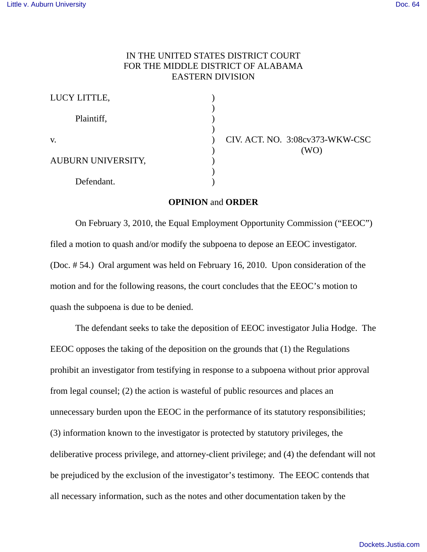## IN THE UNITED STATES DISTRICT COURT FOR THE MIDDLE DISTRICT OF ALABAMA EASTERN DIVISION

| LUCY LITTLE,       |  |
|--------------------|--|
|                    |  |
| Plaintiff,         |  |
|                    |  |
| V.                 |  |
| AUBURN UNIVERSITY, |  |
|                    |  |
| Defendant.         |  |
|                    |  |

CIV. ACT. NO. 3:08cv373-WKW-CSC ) (WO)

## **OPINION** and **ORDER**

On February 3, 2010, the Equal Employment Opportunity Commission ("EEOC") filed a motion to quash and/or modify the subpoena to depose an EEOC investigator. (Doc. # 54.) Oral argument was held on February 16, 2010. Upon consideration of the motion and for the following reasons, the court concludes that the EEOC's motion to quash the subpoena is due to be denied.

The defendant seeks to take the deposition of EEOC investigator Julia Hodge. The EEOC opposes the taking of the deposition on the grounds that (1) the Regulations prohibit an investigator from testifying in response to a subpoena without prior approval from legal counsel; (2) the action is wasteful of public resources and places an unnecessary burden upon the EEOC in the performance of its statutory responsibilities; (3) information known to the investigator is protected by statutory privileges, the deliberative process privilege, and attorney-client privilege; and (4) the defendant will not be prejudiced by the exclusion of the investigator's testimony. The EEOC contends that all necessary information, such as the notes and other documentation taken by the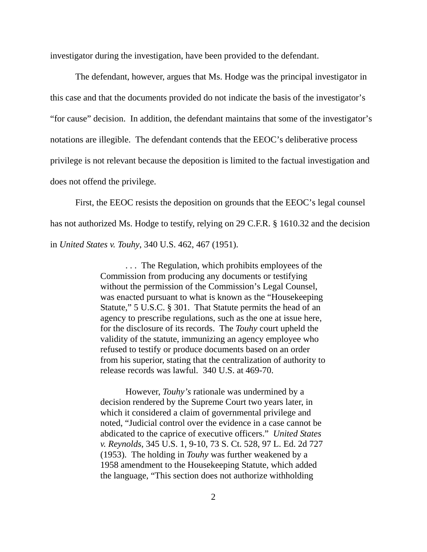investigator during the investigation, have been provided to the defendant.

The defendant, however, argues that Ms. Hodge was the principal investigator in this case and that the documents provided do not indicate the basis of the investigator's "for cause" decision. In addition, the defendant maintains that some of the investigator's notations are illegible. The defendant contends that the EEOC's deliberative process privilege is not relevant because the deposition is limited to the factual investigation and does not offend the privilege.

First, the EEOC resists the deposition on grounds that the EEOC's legal counsel has not authorized Ms. Hodge to testify, relying on 29 C.F.R. § 1610.32 and the decision in *United States v. Touhy*, 340 U.S. 462, 467 (1951).

> . . . The Regulation, which prohibits employees of the Commission from producing any documents or testifying without the permission of the Commission's Legal Counsel, was enacted pursuant to what is known as the "Housekeeping Statute," 5 U.S.C. § 301. That Statute permits the head of an agency to prescribe regulations, such as the one at issue here, for the disclosure of its records. The *Touhy* court upheld the validity of the statute, immunizing an agency employee who refused to testify or produce documents based on an order from his superior, stating that the centralization of authority to release records was lawful. 340 U.S. at 469-70.

However, *Touhy's* rationale was undermined by a decision rendered by the Supreme Court two years later, in which it considered a claim of governmental privilege and noted, "Judicial control over the evidence in a case cannot be abdicated to the caprice of executive officers." *United States v. Reynolds*, 345 U.S. 1, 9-10, 73 S. Ct. 528, 97 L. Ed. 2d 727 (1953). The holding in *Touhy* was further weakened by a 1958 amendment to the Housekeeping Statute, which added the language, "This section does not authorize withholding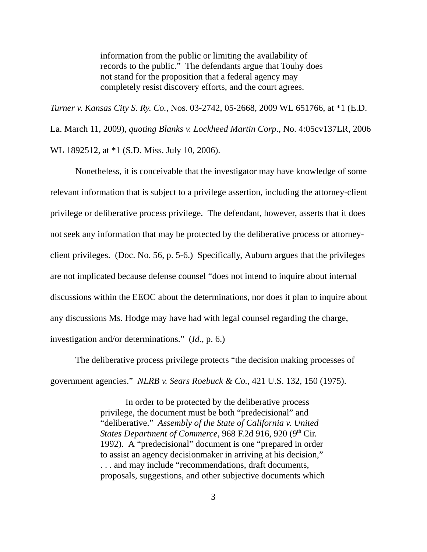information from the public or limiting the availability of records to the public." The defendants argue that Touhy does not stand for the proposition that a federal agency may completely resist discovery efforts, and the court agrees.

*Turner v. Kansas City S. Ry. Co.*, Nos. 03-2742, 05-2668, 2009 WL 651766, at \*1 (E.D. La. March 11, 2009), *quoting Blanks v. Lockheed Martin Corp*., No. 4:05cv137LR, 2006 WL 1892512, at \*1 (S.D. Miss. July 10, 2006).

Nonetheless, it is conceivable that the investigator may have knowledge of some relevant information that is subject to a privilege assertion, including the attorney-client privilege or deliberative process privilege. The defendant, however, asserts that it does not seek any information that may be protected by the deliberative process or attorneyclient privileges. (Doc. No. 56, p. 5-6.) Specifically, Auburn argues that the privileges are not implicated because defense counsel "does not intend to inquire about internal discussions within the EEOC about the determinations, nor does it plan to inquire about any discussions Ms. Hodge may have had with legal counsel regarding the charge, investigation and/or determinations." (*Id*., p. 6.)

The deliberative process privilege protects "the decision making processes of government agencies." *NLRB v. Sears Roebuck & Co.*, 421 U.S. 132, 150 (1975).

> In order to be protected by the deliberative process privilege, the document must be both "predecisional" and "deliberative." *Assembly of the State of California v. United States Department of Commerce*, 968 F.2d 916, 920 (9<sup>th</sup> Cir. 1992). A "predecisional" document is one "prepared in order to assist an agency decisionmaker in arriving at his decision," . . . and may include "recommendations, draft documents, proposals, suggestions, and other subjective documents which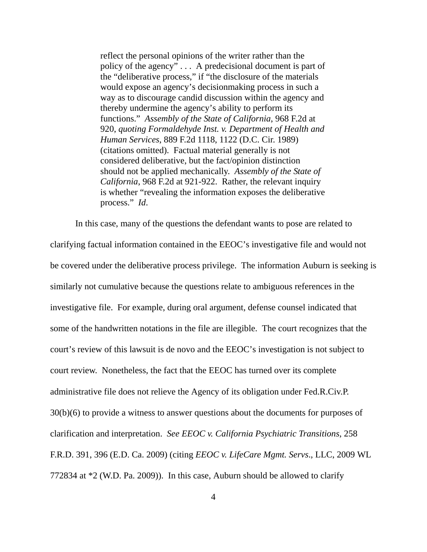reflect the personal opinions of the writer rather than the policy of the agency" . . . A predecisional document is part of the "deliberative process," if "the disclosure of the materials would expose an agency's decisionmaking process in such a way as to discourage candid discussion within the agency and thereby undermine the agency's ability to perform its functions." *Assembly of the State of California*, 968 F.2d at 920, *quoting Formaldehyde Inst. v. Department of Health and Human Services*, 889 F.2d 1118, 1122 (D.C. Cir. 1989) (citations omitted). Factual material generally is not considered deliberative, but the fact/opinion distinction should not be applied mechanically. *Assembly of the State of California*, 968 F.2d at 921-922. Rather, the relevant inquiry is whether "revealing the information exposes the deliberative process." *Id*.

In this case, many of the questions the defendant wants to pose are related to clarifying factual information contained in the EEOC's investigative file and would not be covered under the deliberative process privilege. The information Auburn is seeking is similarly not cumulative because the questions relate to ambiguous references in the investigative file. For example, during oral argument, defense counsel indicated that some of the handwritten notations in the file are illegible. The court recognizes that the court's review of this lawsuit is de novo and the EEOC's investigation is not subject to court review. Nonetheless, the fact that the EEOC has turned over its complete administrative file does not relieve the Agency of its obligation under Fed.R.Civ.P. 30(b)(6) to provide a witness to answer questions about the documents for purposes of clarification and interpretation. *See EEOC v. California Psychiatric Transitions*, 258 F.R.D. 391, 396 (E.D. Ca. 2009) (citing *EEOC v. LifeCare Mgmt. Servs*., LLC, 2009 WL 772834 at \*2 (W.D. Pa. 2009)). In this case, Auburn should be allowed to clarify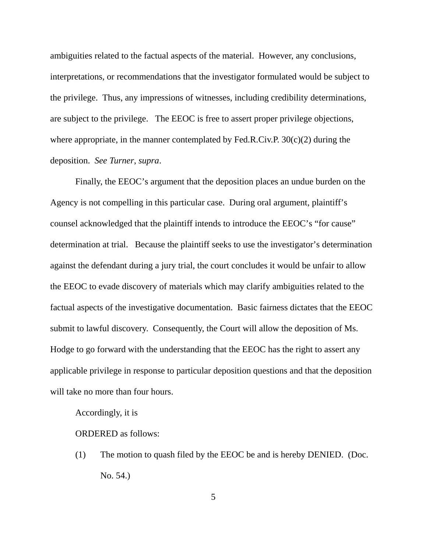ambiguities related to the factual aspects of the material. However, any conclusions, interpretations, or recommendations that the investigator formulated would be subject to the privilege. Thus, any impressions of witnesses, including credibility determinations, are subject to the privilege. The EEOC is free to assert proper privilege objections, where appropriate, in the manner contemplated by Fed.R.Civ.P. 30(c)(2) during the deposition. *See Turner*, *supra*.

Finally, the EEOC's argument that the deposition places an undue burden on the Agency is not compelling in this particular case. During oral argument, plaintiff's counsel acknowledged that the plaintiff intends to introduce the EEOC's "for cause" determination at trial. Because the plaintiff seeks to use the investigator's determination against the defendant during a jury trial, the court concludes it would be unfair to allow the EEOC to evade discovery of materials which may clarify ambiguities related to the factual aspects of the investigative documentation. Basic fairness dictates that the EEOC submit to lawful discovery. Consequently, the Court will allow the deposition of Ms. Hodge to go forward with the understanding that the EEOC has the right to assert any applicable privilege in response to particular deposition questions and that the deposition will take no more than four hours.

Accordingly, it is

ORDERED as follows:

(1) The motion to quash filed by the EEOC be and is hereby DENIED. (Doc. No. 54.)